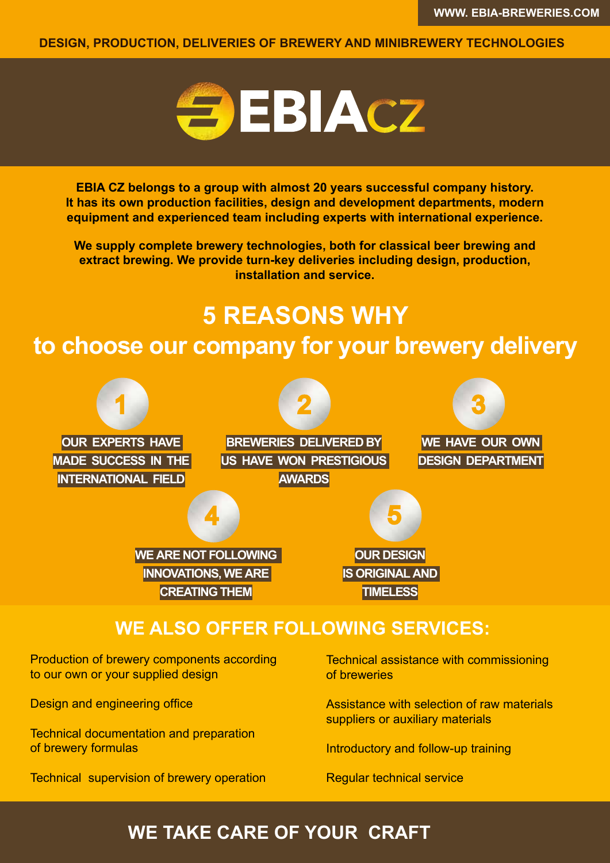**DESIGN, PRODUCTION, DELIVERIES OF BREWERY AND MINIBREWERY TECHNOLOGIES**



**EBIA CZ belongs to a group with almost 20 years successful company history. It has its own production facilities, design and development departments, modern equipment and experienced team including experts with international experience.**

**We supply complete brewery technologies, both for classical beer brewing and extract brewing. We provide turn-key deliveries including design, production, installation and service.**

## **5 REASONS WHY to choose our company for your brewery delivery**



Production of brewery components according to our own or your supplied design

Design and engineering office

Technical documentation and preparation of brewery formulas

Technical supervision of brewery operation

Technical assistance with commissioning of breweries

Assistance with selection of raw materials suppliers or auxiliary materials

Introductory and follow-up training

Regular technical service

## **WE TAKE CARE OF YOUR CRAFT**